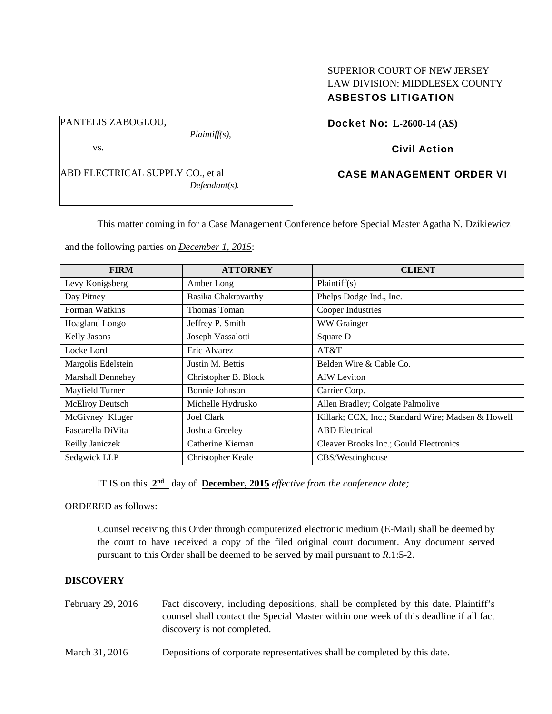#### PANTELIS ZABOGLOU,

*Plaintiff(s),* 

vs.

ABD ELECTRICAL SUPPLY CO., et al *Defendant(s).* 

# SUPERIOR COURT OF NEW JERSEY LAW DIVISION: MIDDLESEX COUNTY ASBESTOS LITIGATION

Docket No: **L-2600-14 (AS)** 

# Civil Action

# CASE MANAGEMENT ORDER VI

This matter coming in for a Case Management Conference before Special Master Agatha N. Dzikiewicz

and the following parties on *December 1, 2015*:

| <b>FIRM</b>              | <b>ATTORNEY</b>      | <b>CLIENT</b>                                      |
|--------------------------|----------------------|----------------------------------------------------|
| Levy Konigsberg          | Amber Long           | Plaintiff(s)                                       |
| Day Pitney               | Rasika Chakravarthy  | Phelps Dodge Ind., Inc.                            |
| Forman Watkins           | Thomas Toman         | Cooper Industries                                  |
| Hoagland Longo           | Jeffrey P. Smith     | WW Grainger                                        |
| <b>Kelly Jasons</b>      | Joseph Vassalotti    | Square D                                           |
| Locke Lord               | Eric Alvarez         | AT&T                                               |
| Margolis Edelstein       | Justin M. Bettis     | Belden Wire & Cable Co.                            |
| <b>Marshall Dennehey</b> | Christopher B. Block | <b>AIW</b> Leviton                                 |
| Mayfield Turner          | Bonnie Johnson       | Carrier Corp.                                      |
| McElroy Deutsch          | Michelle Hydrusko    | Allen Bradley; Colgate Palmolive                   |
| McGivney Kluger          | <b>Joel Clark</b>    | Killark; CCX, Inc.; Standard Wire; Madsen & Howell |
| Pascarella DiVita        | Joshua Greeley       | <b>ABD</b> Electrical                              |
| Reilly Janiczek          | Catherine Kiernan    | Cleaver Brooks Inc.; Gould Electronics             |
| Sedgwick LLP             | Christopher Keale    | CBS/Westinghouse                                   |

IT IS on this **2nd** day of **December, 2015** *effective from the conference date;*

ORDERED as follows:

Counsel receiving this Order through computerized electronic medium (E-Mail) shall be deemed by the court to have received a copy of the filed original court document. Any document served pursuant to this Order shall be deemed to be served by mail pursuant to *R*.1:5-2.

## **DISCOVERY**

- February 29, 2016 Fact discovery, including depositions, shall be completed by this date. Plaintiff's counsel shall contact the Special Master within one week of this deadline if all fact discovery is not completed.
- March 31, 2016 Depositions of corporate representatives shall be completed by this date.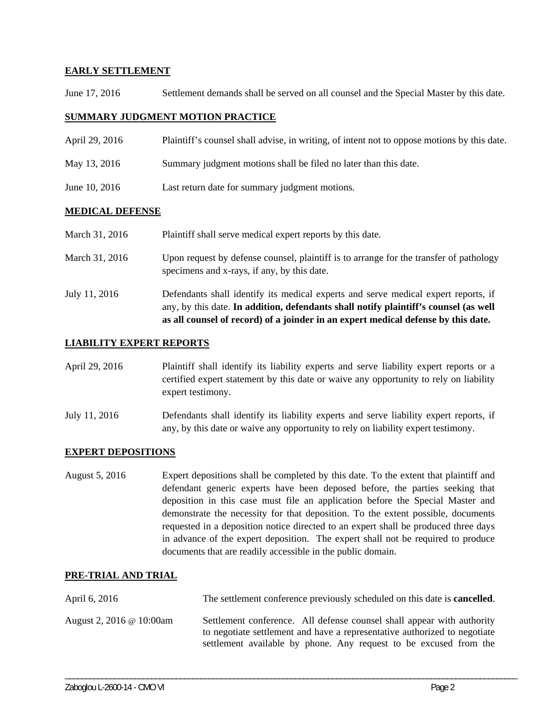### **EARLY SETTLEMENT**

June 17, 2016 Settlement demands shall be served on all counsel and the Special Master by this date.

### **SUMMARY JUDGMENT MOTION PRACTICE**

| April 29, 2016 | Plaintiff's counsel shall advise, in writing, of intent not to oppose motions by this date. |
|----------------|---------------------------------------------------------------------------------------------|
| May 13, 2016   | Summary judgment motions shall be filed no later than this date.                            |
| June 10, 2016  | Last return date for summary judgment motions.                                              |

#### **MEDICAL DEFENSE**

| March 31, 2016 | Plaintiff shall serve medical expert reports by this date. |  |
|----------------|------------------------------------------------------------|--|
|                |                                                            |  |

- March 31, 2016 Upon request by defense counsel, plaintiff is to arrange for the transfer of pathology specimens and x-rays, if any, by this date.
- July 11, 2016 Defendants shall identify its medical experts and serve medical expert reports, if any, by this date. **In addition, defendants shall notify plaintiff's counsel (as well as all counsel of record) of a joinder in an expert medical defense by this date.**

### **LIABILITY EXPERT REPORTS**

- April 29, 2016 Plaintiff shall identify its liability experts and serve liability expert reports or a certified expert statement by this date or waive any opportunity to rely on liability expert testimony.
- July 11, 2016 Defendants shall identify its liability experts and serve liability expert reports, if any, by this date or waive any opportunity to rely on liability expert testimony.

#### **EXPERT DEPOSITIONS**

August 5, 2016 Expert depositions shall be completed by this date. To the extent that plaintiff and defendant generic experts have been deposed before, the parties seeking that deposition in this case must file an application before the Special Master and demonstrate the necessity for that deposition. To the extent possible, documents requested in a deposition notice directed to an expert shall be produced three days in advance of the expert deposition. The expert shall not be required to produce documents that are readily accessible in the public domain.

## **PRE-TRIAL AND TRIAL**

| April 6, 2016            | The settlement conference previously scheduled on this date is <b>cancelled</b> .                                                                                                                                        |
|--------------------------|--------------------------------------------------------------------------------------------------------------------------------------------------------------------------------------------------------------------------|
| August 2, 2016 @ 10:00am | Settlement conference. All defense counsel shall appear with authority<br>to negotiate settlement and have a representative authorized to negotiate<br>settlement available by phone. Any request to be excused from the |

\_\_\_\_\_\_\_\_\_\_\_\_\_\_\_\_\_\_\_\_\_\_\_\_\_\_\_\_\_\_\_\_\_\_\_\_\_\_\_\_\_\_\_\_\_\_\_\_\_\_\_\_\_\_\_\_\_\_\_\_\_\_\_\_\_\_\_\_\_\_\_\_\_\_\_\_\_\_\_\_\_\_\_\_\_\_\_\_\_\_\_\_\_\_\_\_\_\_\_\_\_\_\_\_\_\_\_\_\_\_